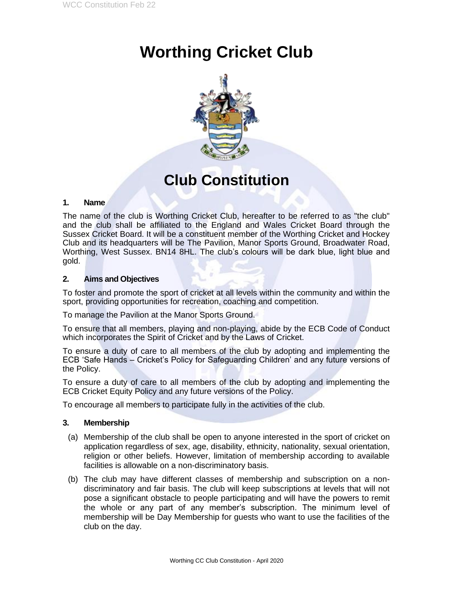# **Worthing Cricket Club**



# **Club Constitution**

#### **1. Name**

The name of the club is Worthing Cricket Club, hereafter to be referred to as "the club" and the club shall be affiliated to the England and Wales Cricket Board through the Sussex Cricket Board. It will be a constituent member of the Worthing Cricket and Hockey Club and its headquarters will be The Pavilion, Manor Sports Ground, Broadwater Road, Worthing, West Sussex. BN14 8HL. The club's colours will be dark blue, light blue and gold.

### **2. Aims and Objectives**

To foster and promote the sport of cricket at all levels within the community and within the sport, providing opportunities for recreation, coaching and competition.

To manage the Pavilion at the Manor Sports Ground.

To ensure that all members, playing and non-playing, abide by the ECB Code of Conduct which incorporates the Spirit of Cricket and by the Laws of Cricket.

To ensure a duty of care to all members of the club by adopting and implementing the ECB 'Safe Hands – Cricket's Policy for Safeguarding Children' and any future versions of the Policy.

To ensure a duty of care to all members of the club by adopting and implementing the ECB Cricket Equity Policy and any future versions of the Policy.

To encourage all members to participate fully in the activities of the club.

#### **3. Membership**

- (a) Membership of the club shall be open to anyone interested in the sport of cricket on application regardless of sex, age, disability, ethnicity, nationality, sexual orientation, religion or other beliefs. However, limitation of membership according to available facilities is allowable on a non-discriminatory basis.
- (b) The club may have different classes of membership and subscription on a nondiscriminatory and fair basis. The club will keep subscriptions at levels that will not pose a significant obstacle to people participating and will have the powers to remit the whole or any part of any member's subscription. The minimum level of membership will be Day Membership for guests who want to use the facilities of the club on the day.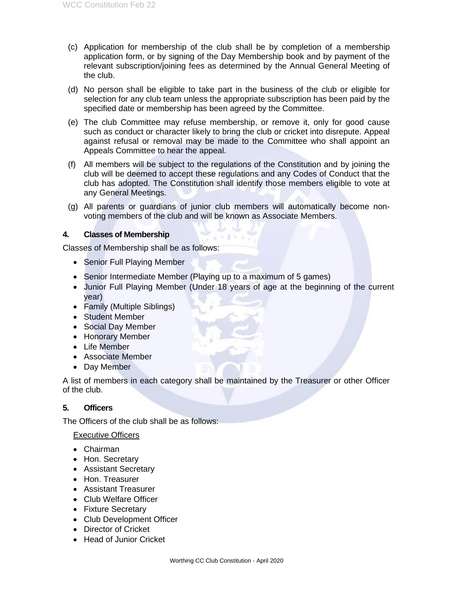- (c) Application for membership of the club shall be by completion of a membership application form, or by signing of the Day Membership book and by payment of the relevant subscription/joining fees as determined by the Annual General Meeting of the club.
- (d) No person shall be eligible to take part in the business of the club or eligible for selection for any club team unless the appropriate subscription has been paid by the specified date or membership has been agreed by the Committee.
- (e) The club Committee may refuse membership, or remove it, only for good cause such as conduct or character likely to bring the club or cricket into disrepute. Appeal against refusal or removal may be made to the Committee who shall appoint an Appeals Committee to hear the appeal.
- (f) All members will be subject to the regulations of the Constitution and by joining the club will be deemed to accept these regulations and any Codes of Conduct that the club has adopted. The Constitution shall identify those members eligible to vote at any General Meetings.
- (g) All parents or guardians of junior club members will automatically become nonvoting members of the club and will be known as Associate Members.

#### **4. Classes of Membership**

Classes of Membership shall be as follows:

- Senior Full Playing Member
- Senior Intermediate Member (Playing up to a maximum of 5 games)
- Junior Full Playing Member (Under 18 years of age at the beginning of the current year)
- Family (Multiple Siblings)
- Student Member
- Social Day Member
- Honorary Member
- Life Member
- Associate Member
- Day Member

A list of members in each category shall be maintained by the Treasurer or other Officer of the club.

## **5. Officers**

The Officers of the club shall be as follows:

#### Executive Officers

- Chairman
- Hon. Secretary
- Assistant Secretary
- Hon. Treasurer
- Assistant Treasurer
- Club Welfare Officer
- Fixture Secretary
- Club Development Officer
- Director of Cricket
- Head of Junior Cricket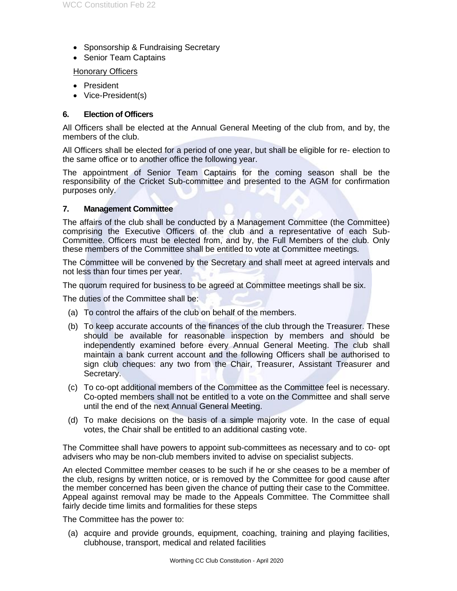- Sponsorship & Fundraising Secretary
- Senior Team Captains

#### Honorary Officers

- President
- Vice-President(s)

#### **6. Election of Officers**

All Officers shall be elected at the Annual General Meeting of the club from, and by, the members of the club.

All Officers shall be elected for a period of one year, but shall be eligible for re- election to the same office or to another office the following year.

The appointment of Senior Team Captains for the coming season shall be the responsibility of the Cricket Sub-committee and presented to the AGM for confirmation purposes only.

#### **7. Management Committee**

The affairs of the club shall be conducted by a Management Committee (the Committee) comprising the Executive Officers of the club and a representative of each Sub-Committee. Officers must be elected from, and by, the Full Members of the club. Only these members of the Committee shall be entitled to vote at Committee meetings.

The Committee will be convened by the Secretary and shall meet at agreed intervals and not less than four times per year.

The quorum required for business to be agreed at Committee meetings shall be six.

The duties of the Committee shall be:

- (a) To control the affairs of the club on behalf of the members.
- (b) To keep accurate accounts of the finances of the club through the Treasurer. These should be available for reasonable inspection by members and should be independently examined before every Annual General Meeting. The club shall maintain a bank current account and the following Officers shall be authorised to sign club cheques: any two from the Chair, Treasurer, Assistant Treasurer and Secretary.
- (c) To co-opt additional members of the Committee as the Committee feel is necessary. Co-opted members shall not be entitled to a vote on the Committee and shall serve until the end of the next Annual General Meeting.
- (d) To make decisions on the basis of a simple majority vote. In the case of equal votes, the Chair shall be entitled to an additional casting vote.

The Committee shall have powers to appoint sub-committees as necessary and to co- opt advisers who may be non-club members invited to advise on specialist subjects.

An elected Committee member ceases to be such if he or she ceases to be a member of the club, resigns by written notice, or is removed by the Committee for good cause after the member concerned has been given the chance of putting their case to the Committee. Appeal against removal may be made to the Appeals Committee. The Committee shall fairly decide time limits and formalities for these steps

The Committee has the power to:

(a) acquire and provide grounds, equipment, coaching, training and playing facilities, clubhouse, transport, medical and related facilities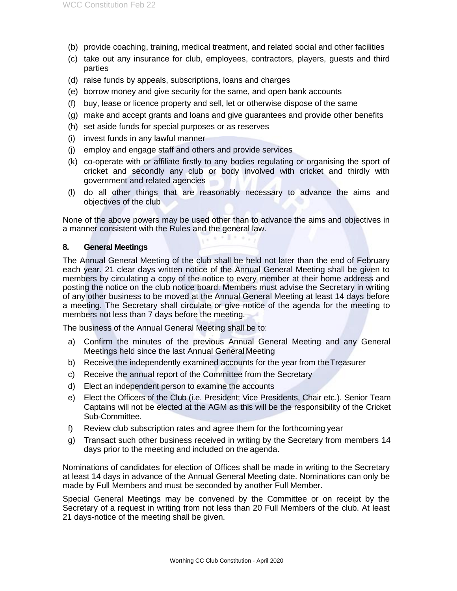- (b) provide coaching, training, medical treatment, and related social and other facilities
- (c) take out any insurance for club, employees, contractors, players, guests and third parties
- (d) raise funds by appeals, subscriptions, loans and charges
- (e) borrow money and give security for the same, and open bank accounts
- (f) buy, lease or licence property and sell, let or otherwise dispose of the same
- (g) make and accept grants and loans and give guarantees and provide other benefits
- (h) set aside funds for special purposes or as reserves
- (i) invest funds in any lawful manner
- (j) employ and engage staff and others and provide services
- (k) co-operate with or affiliate firstly to any bodies regulating or organising the sport of cricket and secondly any club or body involved with cricket and thirdly with government and related agencies
- (l) do all other things that are reasonably necessary to advance the aims and objectives of the club

None of the above powers may be used other than to advance the aims and objectives in a manner consistent with the Rules and the general law.  $(1 + 1 + 1)$ 

#### **8. General Meetings**

The Annual General Meeting of the club shall be held not later than the end of February each year. 21 clear days written notice of the Annual General Meeting shall be given to members by circulating a copy of the notice to every member at their home address and posting the notice on the club notice board. Members must advise the Secretary in writing of any other business to be moved at the Annual General Meeting at least 14 days before a meeting. The Secretary shall circulate or give notice of the agenda for the meeting to members not less than 7 days before the meeting.

The business of the Annual General Meeting shall be to:

- a) Confirm the minutes of the previous Annual General Meeting and any General Meetings held since the last Annual General Meeting
- b) Receive the independently examined accounts for the year from the Treasurer
- c) Receive the annual report of the Committee from the Secretary
- d) Elect an independent person to examine the accounts
- e) Elect the Officers of the Club (i.e. President; Vice Presidents, Chair etc.). Senior Team Captains will not be elected at the AGM as this will be the responsibility of the Cricket Sub-Committee.
- f) Review club subscription rates and agree them for the forthcoming year
- g) Transact such other business received in writing by the Secretary from members 14 days prior to the meeting and included on the agenda.

Nominations of candidates for election of Offices shall be made in writing to the Secretary at least 14 days in advance of the Annual General Meeting date. Nominations can only be made by Full Members and must be seconded by another Full Member.

Special General Meetings may be convened by the Committee or on receipt by the Secretary of a request in writing from not less than 20 Full Members of the club. At least 21 days-notice of the meeting shall be given.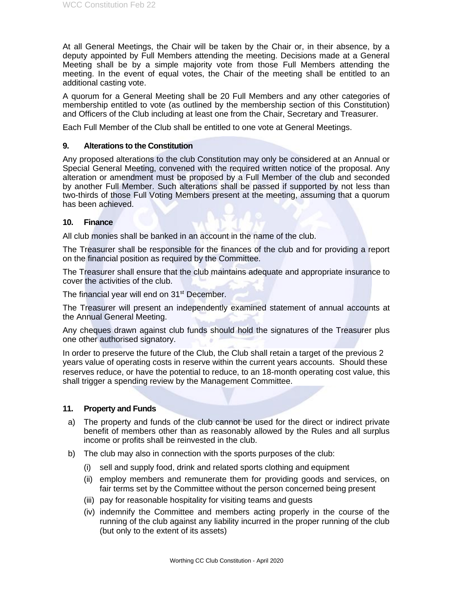At all General Meetings, the Chair will be taken by the Chair or, in their absence, by a deputy appointed by Full Members attending the meeting. Decisions made at a General Meeting shall be by a simple majority vote from those Full Members attending the meeting. In the event of equal votes, the Chair of the meeting shall be entitled to an additional casting vote.

A quorum for a General Meeting shall be 20 Full Members and any other categories of membership entitled to vote (as outlined by the membership section of this Constitution) and Officers of the Club including at least one from the Chair, Secretary and Treasurer.

Each Full Member of the Club shall be entitled to one vote at General Meetings.

#### **9. Alterations to the Constitution**

Any proposed alterations to the club Constitution may only be considered at an Annual or Special General Meeting, convened with the required written notice of the proposal. Any alteration or amendment must be proposed by a Full Member of the club and seconded by another Full Member. Such alterations shall be passed if supported by not less than two-thirds of those Full Voting Members present at the meeting, assuming that a quorum has been achieved.

#### **10. Finance**

All club monies shall be banked in an account in the name of the club.

The Treasurer shall be responsible for the finances of the club and for providing a report on the financial position as required by the Committee.

The Treasurer shall ensure that the club maintains adequate and appropriate insurance to cover the activities of the club.

The financial year will end on 31<sup>st</sup> December.

The Treasurer will present an independently examined statement of annual accounts at the Annual General Meeting.

Any cheques drawn against club funds should hold the signatures of the Treasurer plus one other authorised signatory.

In order to preserve the future of the Club, the Club shall retain a target of the previous 2 years value of operating costs in reserve within the current years accounts. Should these reserves reduce, or have the potential to reduce, to an 18-month operating cost value, this shall trigger a spending review by the Management Committee.

#### **11. Property and Funds**

- a) The property and funds of the club cannot be used for the direct or indirect private benefit of members other than as reasonably allowed by the Rules and all surplus income or profits shall be reinvested in the club.
- b) The club may also in connection with the sports purposes of the club:
	- (i) sell and supply food, drink and related sports clothing and equipment
	- (ii) employ members and remunerate them for providing goods and services, on fair terms set by the Committee without the person concerned being present
	- (iii) pay for reasonable hospitality for visiting teams and guests
	- (iv) indemnify the Committee and members acting properly in the course of the running of the club against any liability incurred in the proper running of the club (but only to the extent of its assets)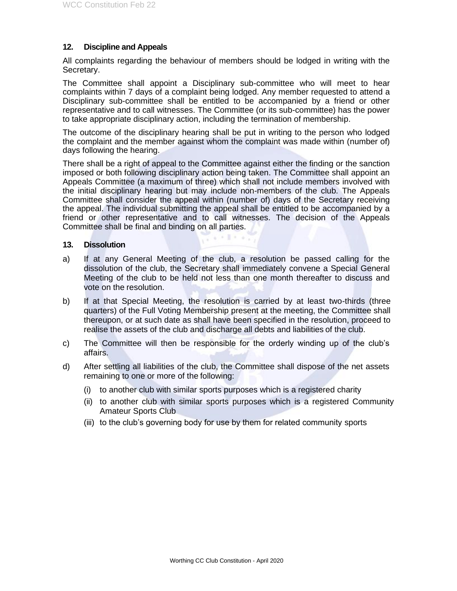#### **12. Discipline and Appeals**

All complaints regarding the behaviour of members should be lodged in writing with the Secretary.

The Committee shall appoint a Disciplinary sub-committee who will meet to hear complaints within 7 days of a complaint being lodged. Any member requested to attend a Disciplinary sub-committee shall be entitled to be accompanied by a friend or other representative and to call witnesses. The Committee (or its sub-committee) has the power to take appropriate disciplinary action, including the termination of membership.

The outcome of the disciplinary hearing shall be put in writing to the person who lodged the complaint and the member against whom the complaint was made within (number of) days following the hearing.

There shall be a right of appeal to the Committee against either the finding or the sanction imposed or both following disciplinary action being taken. The Committee shall appoint an Appeals Committee (a maximum of three) which shall not include members involved with the initial disciplinary hearing but may include non-members of the club. The Appeals Committee shall consider the appeal within (number of) days of the Secretary receiving the appeal. The individual submitting the appeal shall be entitled to be accompanied by a friend or other representative and to call witnesses. The decision of the Appeals Committee shall be final and binding on all parties.

#### **13. Dissolution**

a) If at any General Meeting of the club, a resolution be passed calling for the dissolution of the club, the Secretary shall immediately convene a Special General Meeting of the club to be held not less than one month thereafter to discuss and vote on the resolution.

 $(1 + 1 + 1)$ 

- b) If at that Special Meeting, the resolution is carried by at least two-thirds (three quarters) of the Full Voting Membership present at the meeting, the Committee shall thereupon, or at such date as shall have been specified in the resolution, proceed to realise the assets of the club and discharge all debts and liabilities of the club.
- c) The Committee will then be responsible for the orderly winding up of the club's affairs.
- d) After settling all liabilities of the club, the Committee shall dispose of the net assets remaining to one or more of the following:
	- (i) to another club with similar sports purposes which is a registered charity
	- (ii) to another club with similar sports purposes which is a registered Community Amateur Sports Club
	- (iii) to the club's governing body for use by them for related community sports